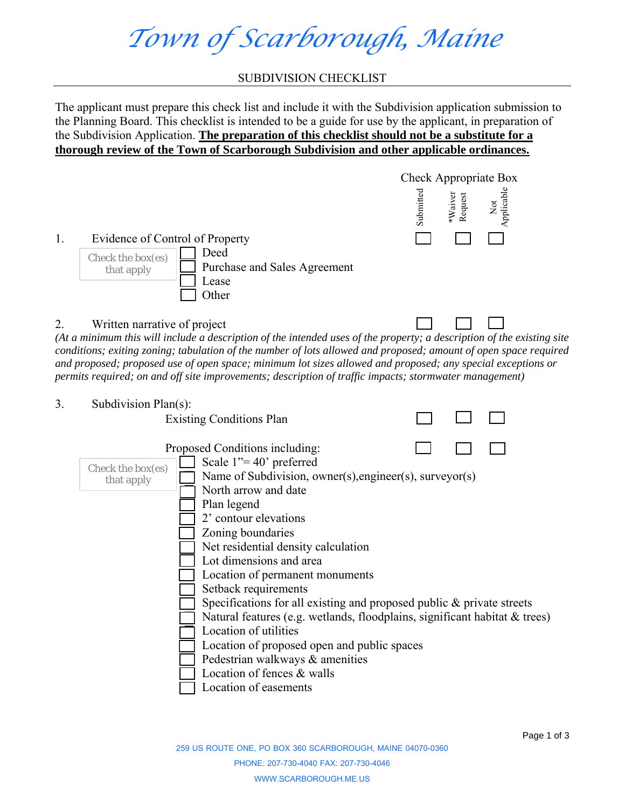*Town of Scarborough, Maine* 

#### SUBDIVISION CHECKLIST

The applicant must prepare this check list and include it with the Subdivision application submission to the Planning Board. This checklist is intended to be a guide for use by the applicant, in preparation of the Subdivision Application. **The preparation of this checklist should not be a substitute for a thorough review of the Town of Scarborough Subdivision and other applicable ordinances.**



#### 2. Written narrative of project

*(At a minimum this will include a description of the intended uses of the property; a description of the existing site conditions; exiting zoning; tabulation of the number of lots allowed and proposed; amount of open space required and proposed; proposed use of open space; minimum lot sizes allowed and proposed; any special exceptions or permits required; on and off site improvements; description of traffic impacts; stormwater management)* 

3. Subdivision Plan(s): Existing Conditions Plan  Proposed Conditions including:  Scale 1"= 40' preferred Name of Subdivision, owner(s),engineer(s), surveyor(s) North arrow and date Plan legend 2' contour elevations Zoning boundaries Net residential density calculation Lot dimensions and area Location of permanent monuments Setback requirements Specifications for all existing and proposed public & private streets Natural features (e.g. wetlands, floodplains, significant habitat & trees) Location of utilities Location of proposed open and public spaces Pedestrian walkways & amenities Location of fences & walls Location of easements Check the box(es) that apply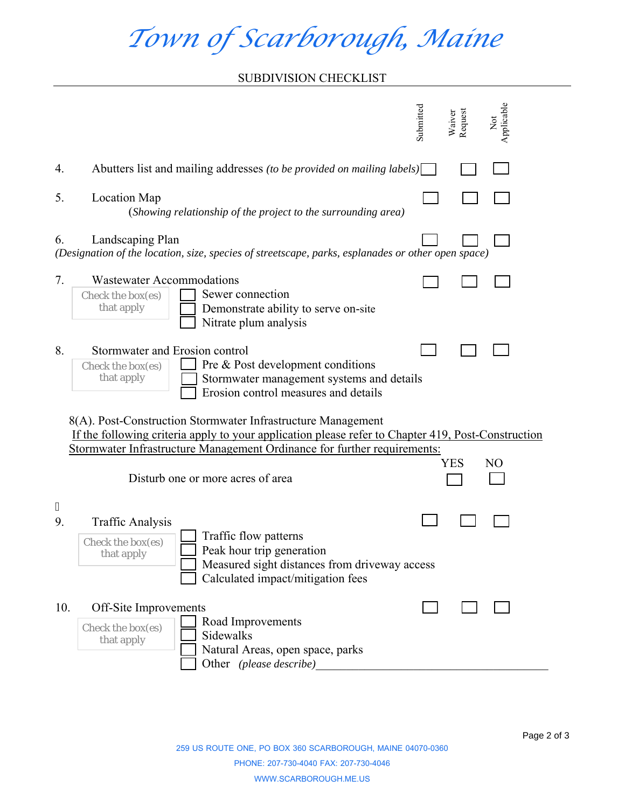# *Town of Scarborough, Maine*

### SUBDIVISION CHECKLIST

|                                                                                                                                                                                                                                                                                                  | Applicable<br>Submitted<br>Request<br>Waiver<br>$\breve{\mathbf{z}}$                                                                                                                                   |  |  |  |  |  |  |
|--------------------------------------------------------------------------------------------------------------------------------------------------------------------------------------------------------------------------------------------------------------------------------------------------|--------------------------------------------------------------------------------------------------------------------------------------------------------------------------------------------------------|--|--|--|--|--|--|
| 4.                                                                                                                                                                                                                                                                                               | Abutters list and mailing addresses (to be provided on mailing labels)                                                                                                                                 |  |  |  |  |  |  |
| 5.                                                                                                                                                                                                                                                                                               | <b>Location Map</b><br>(Showing relationship of the project to the surrounding area)                                                                                                                   |  |  |  |  |  |  |
| Landscaping Plan<br>6.<br>(Designation of the location, size, species of streetscape, parks, esplanades or other open space)                                                                                                                                                                     |                                                                                                                                                                                                        |  |  |  |  |  |  |
| 7.                                                                                                                                                                                                                                                                                               | <b>Wastewater Accommodations</b><br>Sewer connection<br>Check the box(es)<br>that apply<br>Demonstrate ability to serve on-site<br>Nitrate plum analysis                                               |  |  |  |  |  |  |
| 8.                                                                                                                                                                                                                                                                                               | Stormwater and Erosion control<br>Pre & Post development conditions<br>Check the box(es)<br>that apply<br>Stormwater management systems and details<br>Erosion control measures and details            |  |  |  |  |  |  |
| 8(A). Post-Construction Stormwater Infrastructure Management<br>If the following criteria apply to your application please refer to Chapter 419, Post-Construction<br>Stormwater Infrastructure Management Ordinance for further requirements:<br>YES<br>NO<br>Disturb one or more acres of area |                                                                                                                                                                                                        |  |  |  |  |  |  |
| "<br>9.                                                                                                                                                                                                                                                                                          | <b>Traffic Analysis</b><br>Traffic flow patterns<br>Check the box(es)<br>Peak hour trip generation<br>that apply<br>Measured sight distances from driveway access<br>Calculated impact/mitigation fees |  |  |  |  |  |  |
| 10.                                                                                                                                                                                                                                                                                              | Off-Site Improvements<br>Road Improvements<br>Check the box(es)<br>Sidewalks<br>that apply<br>Natural Areas, open space, parks<br>Other (please describe)                                              |  |  |  |  |  |  |